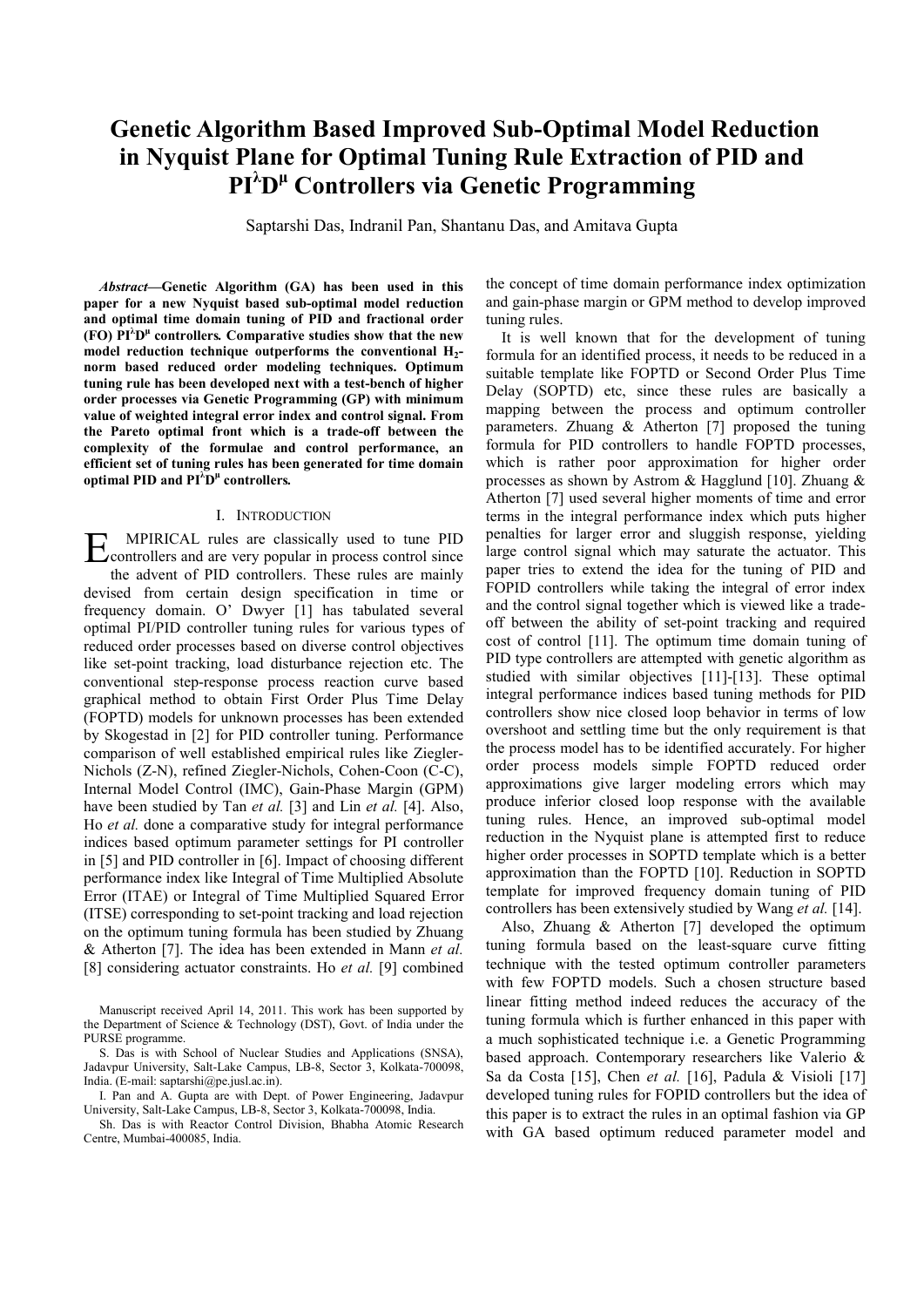# **Genetic Algorithm Based Improved Sub-Optimal Model Reduction in Nyquist Plane for Optimal Tuning Rule Extraction of PID and PI<sup>λ</sup> Dμ Controllers via Genetic Programming**

Saptarshi Das, Indranil Pan, Shantanu Das, and Amitava Gupta

*Abstract***—Genetic Algorithm (GA) has been used in this paper for a new Nyquist based sub-optimal model reduction and optimal time domain tuning of PID and fractional order (FO) PI<sup>λ</sup> Dμ controllers***.* **Comparative studies show that the new**  model reduction technique outperforms the conventional H<sub>2</sub>**norm based reduced order modeling techniques. Optimum tuning rule has been developed next with a test-bench of higher order processes via Genetic Programming (GP) with minimum value of weighted integral error index and control signal. From the Pareto optimal front which is a trade-off between the complexity of the formulae and control performance, an efficient set of tuning rules has been generated for time domain optimal PID and PI<sup>λ</sup> Dμ controllers***.*

## I. INTRODUCTION

MPIRICAL rules are classically used to tune PID EX MPIRICAL rules are classically used to tune PID controllers and are very popular in process control since the advent of PID controllers. These rules are mainly devised from certain design specification in time or frequency domain. O' Dwyer [1] has tabulated several optimal PI/PID controller tuning rules for various types of reduced order processes based on diverse control objectives like set-point tracking, load disturbance rejection etc. The conventional step-response process reaction curve based graphical method to obtain First Order Plus Time Delay (FOPTD) models for unknown processes has been extended by Skogestad in [2] for PID controller tuning. Performance comparison of well established empirical rules like Ziegler-Nichols (Z-N), refined Ziegler-Nichols, Cohen-Coon (C-C), Internal Model Control (IMC), Gain-Phase Margin (GPM) have been studied by Tan *et al.* [3] and Lin *et al.* [4]. Also, Ho *et al.* done a comparative study for integral performance indices based optimum parameter settings for PI controller in [5] and PID controller in [6]. Impact of choosing different performance index like Integral of Time Multiplied Absolute Error (ITAE) or Integral of Time Multiplied Squared Error (ITSE) corresponding to set-point tracking and load rejection on the optimum tuning formula has been studied by Zhuang & Atherton [7]. The idea has been extended in Mann *et al.* [8] considering actuator constraints. Ho *et al.* [9] combined

Manuscript received April 14, 2011. This work has been supported by the Department of Science & Technology (DST), Govt. of India under the PURSE programme.

S. Das is with School of Nuclear Studies and Applications (SNSA), Jadavpur University, Salt-Lake Campus, LB-8, Sector 3, Kolkata-700098, India. (E-mail: saptarshi@pe.jusl.ac.in).

I. Pan and A. Gupta are with Dept. of Power Engineering, Jadavpur University, Salt-Lake Campus, LB-8, Sector 3, Kolkata-700098, India.

Sh. Das is with Reactor Control Division, Bhabha Atomic Research Centre, Mumbai-400085, India.

the concept of time domain performance index optimization and gain-phase margin or GPM method to develop improved tuning rules.

It is well known that for the development of tuning formula for an identified process, it needs to be reduced in a suitable template like FOPTD or Second Order Plus Time Delay (SOPTD) etc, since these rules are basically a mapping between the process and optimum controller parameters. Zhuang & Atherton [7] proposed the tuning formula for PID controllers to handle FOPTD processes, which is rather poor approximation for higher order processes as shown by Astrom & Hagglund [10]. Zhuang & Atherton [7] used several higher moments of time and error terms in the integral performance index which puts higher penalties for larger error and sluggish response, yielding large control signal which may saturate the actuator. This paper tries to extend the idea for the tuning of PID and FOPID controllers while taking the integral of error index and the control signal together which is viewed like a tradeoff between the ability of set-point tracking and required cost of control [11]. The optimum time domain tuning of PID type controllers are attempted with genetic algorithm as studied with similar objectives [11]-[13]. These optimal integral performance indices based tuning methods for PID controllers show nice closed loop behavior in terms of low overshoot and settling time but the only requirement is that the process model has to be identified accurately. For higher order process models simple FOPTD reduced order approximations give larger modeling errors which may produce inferior closed loop response with the available tuning rules. Hence, an improved sub-optimal model reduction in the Nyquist plane is attempted first to reduce higher order processes in SOPTD template which is a better approximation than the FOPTD [10]. Reduction in SOPTD template for improved frequency domain tuning of PID controllers has been extensively studied by Wang *et al.* [14].

Also, Zhuang & Atherton [7] developed the optimum tuning formula based on the least-square curve fitting technique with the tested optimum controller parameters with few FOPTD models. Such a chosen structure based linear fitting method indeed reduces the accuracy of the tuning formula which is further enhanced in this paper with a much sophisticated technique i.e. a Genetic Programming based approach. Contemporary researchers like Valerio & Sa da Costa [15], Chen *et al.* [16], Padula & Visioli [17] developed tuning rules for FOPID controllers but the idea of this paper is to extract the rules in an optimal fashion via GP with GA based optimum reduced parameter model and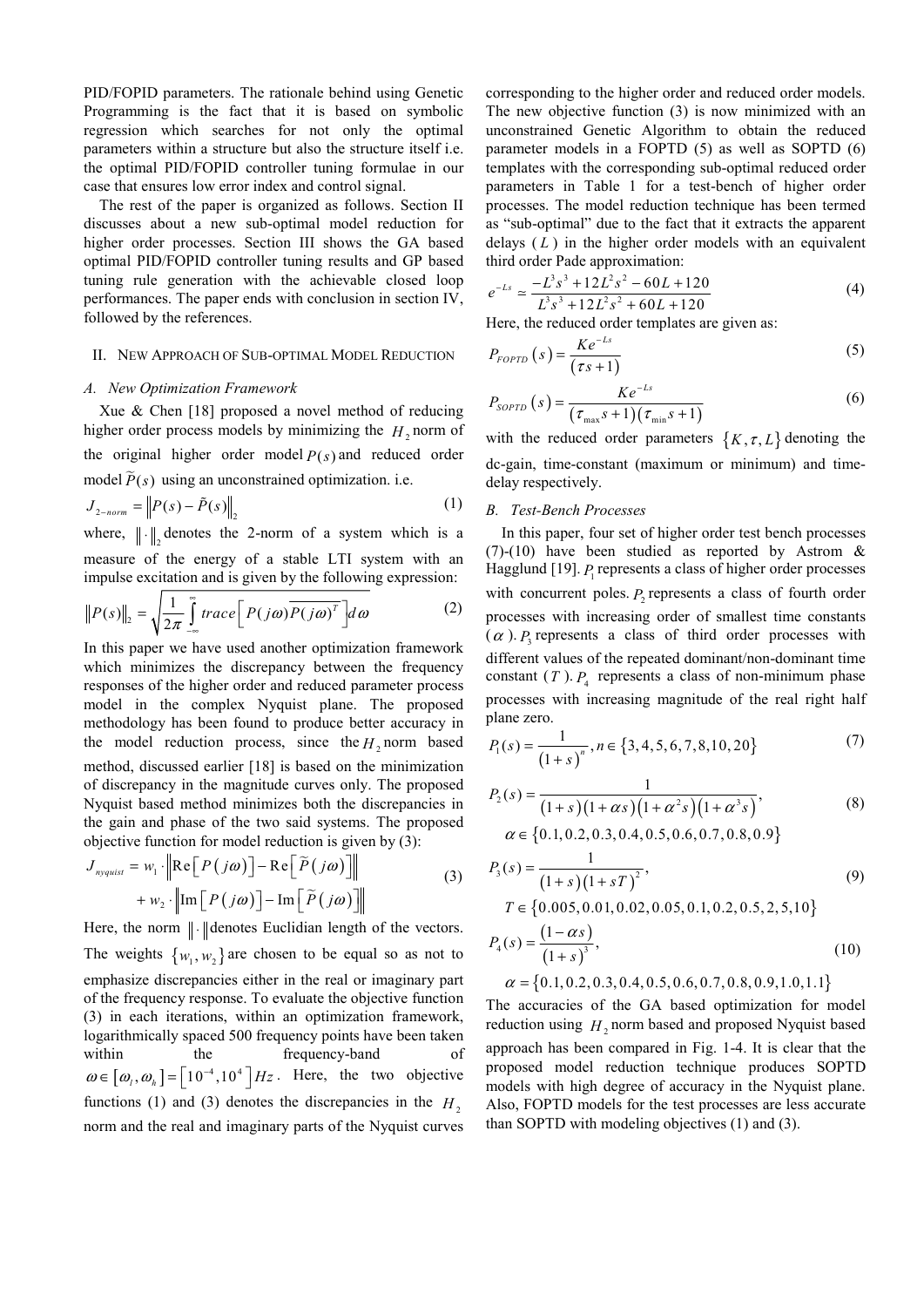PID/FOPID parameters. The rationale behind using Genetic Programming is the fact that it is based on symbolic regression which searches for not only the optimal parameters within a structure but also the structure itself i.e. the optimal PID/FOPID controller tuning formulae in our case that ensures low error index and control signal.

The rest of the paper is organized as follows. Section II discusses about a new sub-optimal model reduction for higher order processes. Section III shows the GA based optimal PID/FOPID controller tuning results and GP based tuning rule generation with the achievable closed loop performances. The paper ends with conclusion in section IV, followed by the references.

#### II. NEW APPROACH OF SUB-OPTIMAL MODEL REDUCTION

## *A. New Optimization Framework*

Xue & Chen [18] proposed a novel method of reducing higher order process models by minimizing the  $H_2$  norm of the original higher order model  $P(s)$  and reduced order model  $\tilde{P}(s)$  using an unconstrained optimization. i.e.

$$
J_{2-norm} = \left\| P(s) - \tilde{P}(s) \right\|_2 \tag{1}
$$

where,  $\|\cdot\|$ , denotes the 2-norm of a system which is a measure of the energy of a stable LTI system with an impulse excitation and is given by the following expression:

$$
||P(s)||_2 = \sqrt{\frac{1}{2\pi} \int_{-\infty}^{\infty} trace \left[ P(j\omega) \overline{P(j\omega)^T} \right] d\omega}
$$
 (2)

In this paper we have used another optimization framework which minimizes the discrepancy between the frequency responses of the higher order and reduced parameter process model in the complex Nyquist plane. The proposed methodology has been found to produce better accuracy in the model reduction process, since the  $H_2$  norm based method, discussed earlier [18] is based on the minimization of discrepancy in the magnitude curves only. The proposed Nyquist based method minimizes both the discrepancies in the gain and phase of the two said systems. The proposed objective function for model reduction is given by (3):

$$
J_{\text{nyquist}} = w_1 \cdot \left\| \text{Re}\left[P(j\omega)\right] - \text{Re}\left[\tilde{P}(j\omega)\right] \right\|
$$
  
+ 
$$
w_2 \cdot \left\| \text{Im}\left[P(j\omega)\right] - \text{Im}\left[\tilde{P}(j\omega)\right] \right\|
$$
 (3)

Here, the norm  $\|\cdot\|$  denotes Euclidian length of the vectors. The weights  $\{w_1, w_2\}$  are chosen to be equal so as not to emphasize discrepancies either in the real or imaginary part of the frequency response. To evaluate the objective function (3) in each iterations, within an optimization framework, logarithmically spaced 500 frequency points have been taken within the frequency-band  $\omega \in [\omega_1, \omega_1] = [10^{-4}, 10^4] Hz$ . Here, the two objective functions (1) and (3) denotes the discrepancies in the  $H<sub>2</sub>$ norm and the real and imaginary parts of the Nyquist curves

corresponding to the higher order and reduced order models. The new objective function (3) is now minimized with an unconstrained Genetic Algorithm to obtain the reduced parameter models in a FOPTD (5) as well as SOPTD (6) templates with the corresponding sub-optimal reduced order parameters in Table 1 for a test-bench of higher order processes. The model reduction technique has been termed as "sub-optimal" due to the fact that it extracts the apparent delays ( *L* ) in the higher order models with an equivalent third order Pade approximation:

$$
e^{-Ls} \simeq \frac{-L^3 s^3 + 12L^2 s^2 - 60L + 120}{L^3 s^3 + 12L^2 s^2 + 60L + 120} \tag{4}
$$

Here, the reduced order templates are given as:

$$
P_{\text{FOPID}}\left(s\right) = \frac{Ke^{-L s}}{\left(\tau s + 1\right)}\tag{5}
$$

$$
P_{SOPTD}\left(s\right) = \frac{Ke^{-L s}}{\left(\tau_{\max}s + 1\right)\left(\tau_{\min}s + 1\right)}\tag{6}
$$

with the reduced order parameters  $\{K, \tau, L\}$  denoting the dc-gain, time-constant (maximum or minimum) and timedelay respectively.

### *B. Test-Bench Processes*

In this paper, four set of higher order test bench processes (7)-(10) have been studied as reported by Astrom & Hagglund [19]. *P*<sub>1</sub> represents a class of higher order processes with concurrent poles.  $P_2$  represents a class of fourth order processes with increasing order of smallest time constants  $(\alpha)$ . *P*<sub>2</sub> represents a class of third order processes with different values of the repeated dominant/non-dominant time constant  $(T)$ .  $P_4$  represents a class of non-minimum phase processes with increasing magnitude of the real right half plane zero.

$$
P_1(s) = \frac{1}{(1+s)^n}, n \in \{3, 4, 5, 6, 7, 8, 10, 20\}
$$
 (7)

$$
P_2(s) = \frac{1}{(1+s)(1+\alpha s)(1+\alpha^2 s)(1+\alpha^3 s)},
$$
  
\n
$$
\alpha \in \{0.1, 0.2, 0.3, 0.4, 0.5, 0.6, 0.7, 0.8, 0.9\}
$$
\n(8)

$$
P_3(s) = \frac{1}{(1+s)(1+sT)^2},
$$
  
\n
$$
T \in \{0.005, 0.01, 0.02, 0.05, 0.1, 0.2, 0.5, 2, 5, 10\}
$$
\n(9)

$$
P_4(s) = \frac{(1 - \alpha s)}{(1 + s)^3},\tag{10}
$$

$$
\alpha = \{0.1, 0.2, 0.3, 0.4, 0.5, 0.6, 0.7, 0.8, 0.9, 1.0, 1.1\}
$$

The accuracies of the GA based optimization for model reduction using  $H$ , norm based and proposed Nyquist based approach has been compared in Fig. 1-4. It is clear that the proposed model reduction technique produces SOPTD models with high degree of accuracy in the Nyquist plane. Also, FOPTD models for the test processes are less accurate than SOPTD with modeling objectives (1) and (3).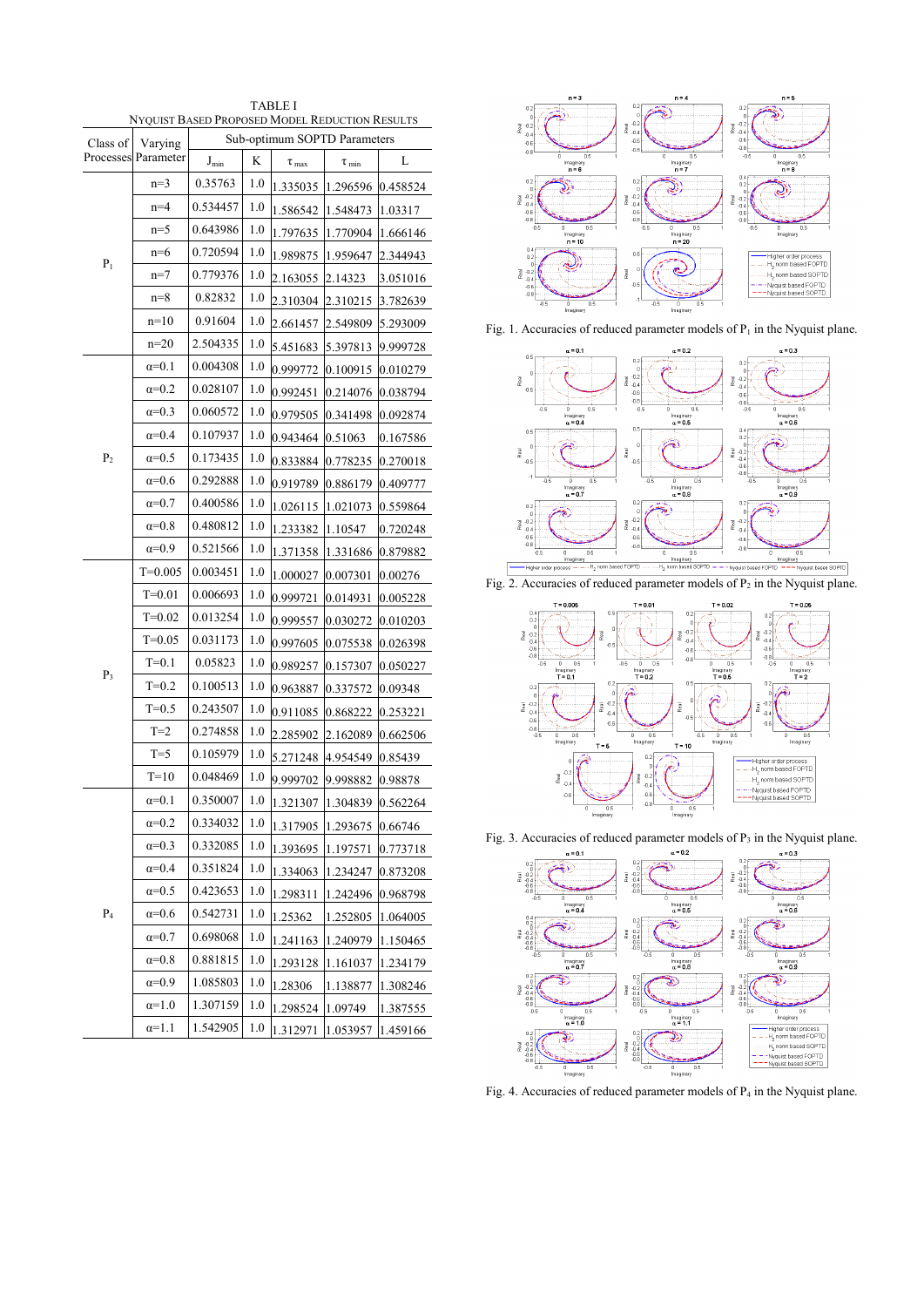| <b>TABLE I</b><br>NYQUIST BASED PROPOSED MODEL REDUCTION RESULTS |                     |                              |     |                     |                       |          |
|------------------------------------------------------------------|---------------------|------------------------------|-----|---------------------|-----------------------|----------|
| Class of                                                         | Varying             | Sub-optimum SOPTD Parameters |     |                     |                       |          |
|                                                                  | Processes Parameter | $J_{min}$                    | K   | $\tau_{\text{max}}$ | $\tau$ <sub>min</sub> | L        |
| $P_1$                                                            | $n=3$               | 0.35763                      | 1.0 | 1.335035            | 1.296596              | 0.458524 |
|                                                                  | $n=4$               | 0.534457                     | 1.0 | 1.586542            | 1.548473              | 1.03317  |
|                                                                  | $n=5$               | 0.643986                     | 1.0 | 1.797635            | 1.770904              | 1.666146 |
|                                                                  | $n=6$               | 0.720594                     | 1.0 | 1.989875            | 1.959647              | 2.344943 |
|                                                                  | $n=7$               | 0.779376                     | 1.0 | 2.163055            | 2.14323               | 3.051016 |
|                                                                  | $n=8$               | 0.82832                      | 1.0 | 2.310304            | 2.310215              | 3.782639 |
|                                                                  | $n=10$              | 0.91604                      | 1.0 | 2.661457            | 2.549809              | 5.293009 |
|                                                                  | $n=20$              | 2.504335                     | 1.0 | 5.451683            | 5.397813              | 9.999728 |
| P <sub>2</sub>                                                   | $\alpha=0.1$        | 0.004308                     | 1.0 | 0.999772            | 0.100915              | 0.010279 |
|                                                                  | $\alpha=0.2$        | 0.028107                     | 1.0 | 0.992451            | 0.214076              | 0.038794 |
|                                                                  | $\alpha=0.3$        | 0.060572                     | 1.0 | 0.979505            | 0.341498              | 0.092874 |
|                                                                  | $\alpha=0.4$        | 0.107937                     | 1.0 | 0.943464            | 0.51063               | 0.167586 |
|                                                                  | $\alpha=0.5$        | 0.173435                     | 1.0 | 0.833884            | 0.778235              | 0.270018 |
|                                                                  | $\alpha=0.6$        | 0.292888                     | 1.0 | 0.919789            | 0.886179              | 0.409777 |
|                                                                  | $\alpha=0.7$        | 0.400586                     | 1.0 | 1.026115            | 1.021073              | 0.559864 |
|                                                                  | $\alpha=0.8$        | 0.480812                     | 1.0 | 1.233382            | 1.10547               | 0.720248 |
|                                                                  | $\alpha=0.9$        | 0.521566                     | 1.0 | 1.371358            | 1.331686              | 0.879882 |
| $P_3$                                                            | $T=0.005$           | 0.003451                     | 1.0 | 1.000027            | 0.007301              | 0.00276  |
|                                                                  | $T = 0.01$          | 0.006693                     | 1.0 | 0.999721            | 0.014931              | 0.005228 |
|                                                                  | $T=0.02$            | 0.013254                     | 1.0 | 0.999557            | 0.030272              | 0.010203 |
|                                                                  | $T=0.05$            | 0.031173                     | 1.0 | 0.997605            | 0.075538              | 0.026398 |
|                                                                  | $T=0.1$             | 0.05823                      | 1.0 | 0.989257            | 0.157307              | 0.050227 |
|                                                                  | $T=0.2$             | 0.100513                     | 1.0 | 0.963887            | 0.337572              | 0.09348  |
|                                                                  | $T=0.5$             | 0.243507                     | 1.0 | 0.911085            | 0.868222              | 0.253221 |
|                                                                  | $T=2$               | 0.274858                     | 1.0 | 2.285902            | 2.162089              | 0.662506 |
|                                                                  | $T=5$               | 0.105979                     | 1.0 | 5.271248            | 4.954549              | 0.85439  |
|                                                                  | $T=10$              | 0.048469                     | 1.0 | 9.999702            | 9.998882              | 0.98878  |
| $P_4$                                                            | $\alpha=0.1$        | 0.350007                     | 1.0 | 1.321307            | 1.304839              | 0.562264 |
|                                                                  | $\alpha=0.2$        | 0.334032                     | 1.0 | 1.317905            | 1.293675              | 0.66746  |
|                                                                  | $\alpha=0.3$        | 0.332085                     | 1.0 | 1.393695            | 1.197571              | 0.773718 |
|                                                                  | $\alpha=0.4$        | 0.351824                     | 1.0 | 1.334063            | 1.234247              | 0.873208 |
|                                                                  | $\alpha=0.5$        | 0.423653                     | 1.0 | 1.298311            | 1.242496              | 0.968798 |
|                                                                  | $\alpha=0.6$        | 0.542731                     | 1.0 | 1.25362             | 1.252805              | 1.064005 |
|                                                                  | $\alpha=0.7$        | 0.698068                     | 1.0 | 1.241163            | 1.240979              | 1.150465 |
|                                                                  | $\alpha=0.8$        | 0.881815                     | 1.0 | 1.293128            | 1.161037              | 1.234179 |
|                                                                  | $\alpha=0.9$        | 1.085803                     | 1.0 | 1.28306             | 1.138877              | 1.308246 |
|                                                                  | $\alpha=1.0$        | 1.307159                     | 1.0 | 1.298524            | 1.09749               | 1.387555 |
|                                                                  | $\alpha=1.1$        | 1.542905                     | 1.0 | 1.312971            | 1.053957              | 1.459166 |



Fig. 1. Accuracies of reduced parameter models of  $P_1$  in the Nyquist plane.



Fig. 2. Accuracies of reduced parameter models of  $P_2$  in the Nyquist plane.



Fig. 3. Accuracies of reduced parameter models of  $P_3$  in the Nyquist plane.



Fig. 4. Accuracies of reduced parameter models of P<sub>4</sub> in the Nyquist plane.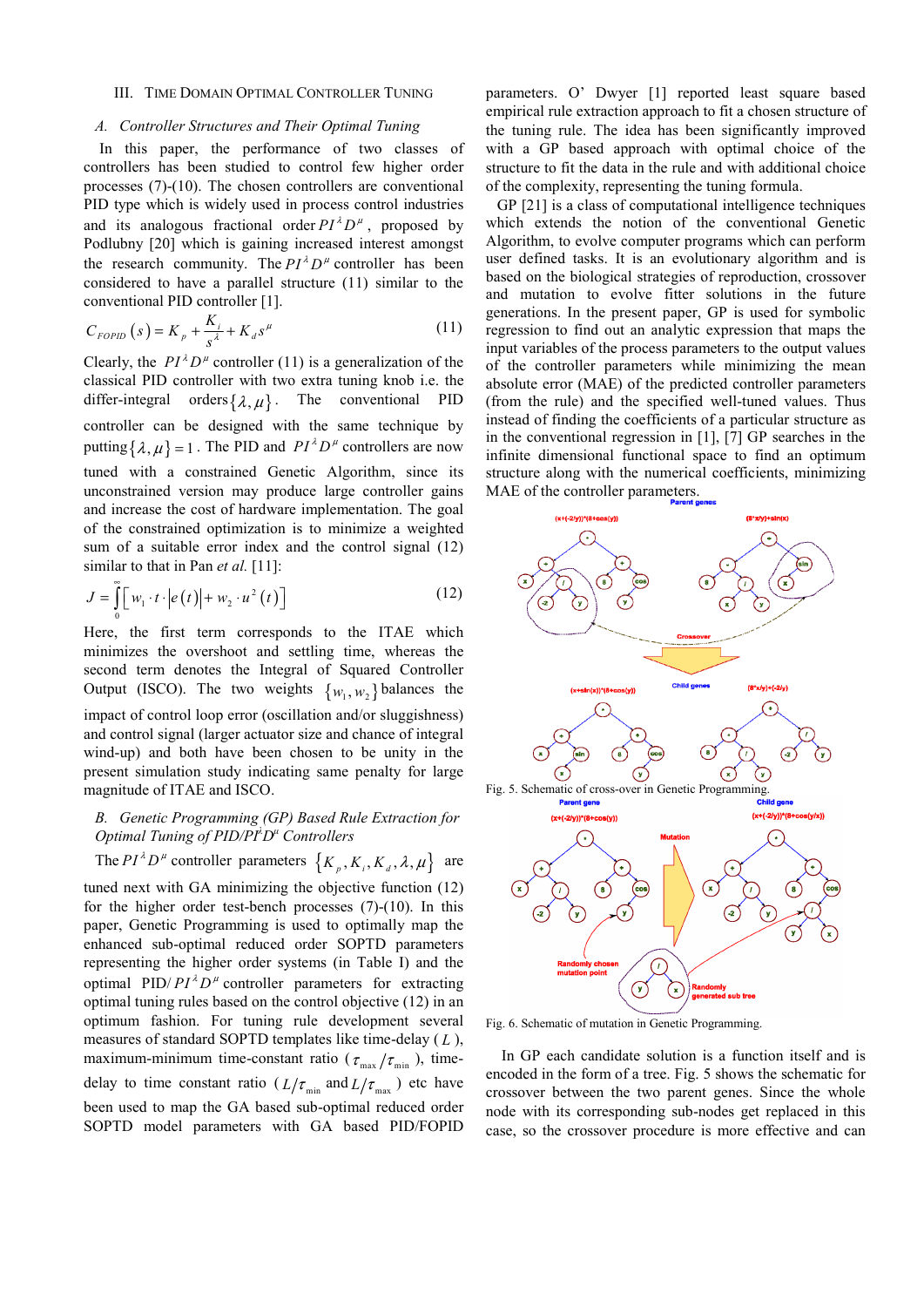## III. TIME DOMAIN OPTIMAL CONTROLLER TUNING

## *A. Controller Structures and Their Optimal Tuning*

In this paper, the performance of two classes of controllers has been studied to control few higher order processes (7)-(10). The chosen controllers are conventional PID type which is widely used in process control industries and its analogous fractional order  $PI^{\lambda}D^{\mu}$ , proposed by Podlubny [20] which is gaining increased interest amongst the research community. The  $PI^{\lambda}D^{\mu}$  controller has been considered to have a parallel structure (11) similar to the conventional PID controller [1].

$$
C_{FOPID}(s) = K_p + \frac{K_i}{s^{\lambda}} + K_d s^{\mu}
$$
 (11)

Clearly, the  $PI^{\lambda}D^{\mu}$  controller (11) is a generalization of the classical PID controller with two extra tuning knob i.e. the differ-integral orders  $\{\lambda, \mu\}$ . The conventional PID controller can be designed with the same technique by putting  $\{\lambda, \mu\} = 1$ . The PID and  $PI^{\lambda}D^{\mu}$  controllers are now tuned with a constrained Genetic Algorithm, since its unconstrained version may produce large controller gains and increase the cost of hardware implementation. The goal of the constrained optimization is to minimize a weighted sum of a suitable error index and the control signal (12) similar to that in Pan *et al.* [11]:

$$
J = \int_{0}^{\infty} \left[ w_1 \cdot t \cdot \left| e(t) \right| + w_2 \cdot u^2(t) \right] \tag{12}
$$

Here, the first term corresponds to the ITAE which minimizes the overshoot and settling time, whereas the second term denotes the Integral of Squared Controller Output (ISCO). The two weights  $\{w_1, w_2\}$  balances the impact of control loop error (oscillation and/or sluggishness) and control signal (larger actuator size and chance of integral wind-up) and both have been chosen to be unity in the present simulation study indicating same penalty for large magnitude of ITAE and ISCO.

# *B. Genetic Programming (GP) Based Rule Extraction for Optimal Tuning of PID/PI<sup>λ</sup> Dμ Controllers*

The 
$$
PI^{\lambda}D^{\mu}
$$
 controller parameters  $\{K_p, K_i, K_d, \lambda, \mu\}$  are

tuned next with GA minimizing the objective function (12) for the higher order test-bench processes (7)-(10). In this paper, Genetic Programming is used to optimally map the enhanced sub-optimal reduced order SOPTD parameters representing the higher order systems (in Table I) and the optimal PID/ $PI^{\lambda}D^{\mu}$  controller parameters for extracting optimal tuning rules based on the control objective (12) in an optimum fashion. For tuning rule development several measures of standard SOPTD templates like time-delay ( *L* ), maximum-minimum time-constant ratio ( $\tau_{\text{max}}/\tau_{\text{min}}$ ), timedelay to time constant ratio ( $L/\tau_{\text{min}}$  and  $L/\tau_{\text{max}}$ ) etc have been used to map the GA based sub-optimal reduced order SOPTD model parameters with GA based PID/FOPID parameters. O' Dwyer [1] reported least square based empirical rule extraction approach to fit a chosen structure of the tuning rule. The idea has been significantly improved with a GP based approach with optimal choice of the structure to fit the data in the rule and with additional choice of the complexity, representing the tuning formula.

GP [21] is a class of computational intelligence techniques which extends the notion of the conventional Genetic Algorithm, to evolve computer programs which can perform user defined tasks. It is an evolutionary algorithm and is based on the biological strategies of reproduction, crossover and mutation to evolve fitter solutions in the future generations. In the present paper, GP is used for symbolic regression to find out an analytic expression that maps the input variables of the process parameters to the output values of the controller parameters while minimizing the mean absolute error (MAE) of the predicted controller parameters (from the rule) and the specified well-tuned values. Thus instead of finding the coefficients of a particular structure as in the conventional regression in [1], [7] GP searches in the infinite dimensional functional space to find an optimum structure along with the numerical coefficients, minimizing MAE of the controller parameters.



Fig. 6. Schematic of mutation in Genetic Programming.

In GP each candidate solution is a function itself and is encoded in the form of a tree. Fig. 5 shows the schematic for crossover between the two parent genes. Since the whole node with its corresponding sub-nodes get replaced in this case, so the crossover procedure is more effective and can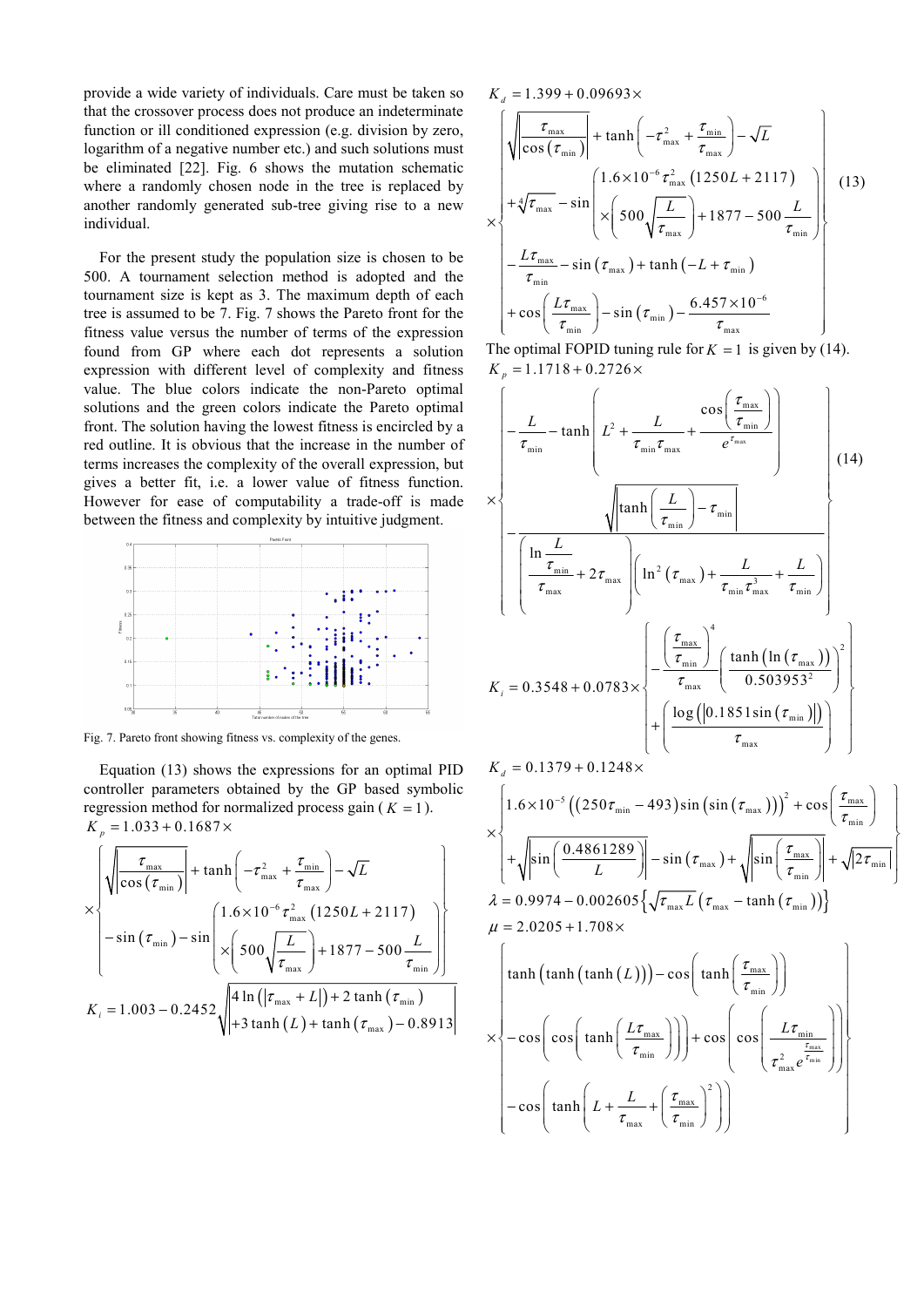provide a wide variety of individuals. Care must be taken so that the crossover process does not produce an indeterminate function or ill conditioned expression (e.g. division by zero, logarithm of a negative number etc.) and such solutions must be eliminated [22]. Fig. 6 shows the mutation schematic where a randomly chosen node in the tree is replaced by another randomly generated sub-tree giving rise to a new individual.

For the present study the population size is chosen to be 500. A tournament selection method is adopted and the tournament size is kept as 3. The maximum depth of each tree is assumed to be 7. Fig. 7 shows the Pareto front for the fitness value versus the number of terms of the expression found from GP where each dot represents a solution expression with different level of complexity and fitness value. The blue colors indicate the non-Pareto optimal solutions and the green colors indicate the Pareto optimal front. The solution having the lowest fitness is encircled by a red outline. It is obvious that the increase in the number of terms increases the complexity of the overall expression, but gives a better fit, i.e. a lower value of fitness function. However for ease of computability a trade-off is made between the fitness and complexity by intuitive judgment.



Fig. 7. Pareto front showing fitness vs. complexity of the genes.

Equation (13) shows the expressions for an optimal PID controller parameters obtained by the GP based symbolic regression method for normalized process gain ( $K = 1$ ).  $K_p = 1.033 + 0.1687 \times$ 

$$
\times \left\{\sqrt{\frac{\tau_{\max}}{\cos(\tau_{\min})}} + \tanh\left(-\tau_{\max}^2 + \frac{\tau_{\min}}{\tau_{\max}}\right) - \sqrt{L}\right\}
$$
  
- sin (\tau\_{\min}) - sin  $\left(\frac{1.6 \times 10^{-6} \tau_{\max}^2 (1250L + 2117)}{\times \left(500 \sqrt{\frac{L}{\tau_{\max}}}\right) + 1877 - 500 \frac{L}{\tau_{\min}}}\right)\right\}$   
 $K_i = 1.003 - 0.2452 \sqrt{\frac{4 \ln(|\tau_{\max} + L|) + 2 \tanh(\tau_{\min})}{+3 \tanh(L) + \tanh(\tau_{\max}) - 0.8913}}$ 

 $K_d = 1.399 + 0.09693 \times$ 

$$
\times \begin{cases}\n\sqrt{\left|\frac{\tau_{\max}}{\cos{(\tau_{\min})}}\right|} + \tanh\left(-\tau_{\max}^2 + \frac{\tau_{\min}}{\tau_{\max}}\right) - \sqrt{L} \\
+ \sqrt[4]{\tau_{\max}} - \sin\left(\frac{1.6 \times 10^{-6} \tau_{\max}^2 (1250L + 2117)}{1.6 \times 10^{-6} \tau_{\max}^2 (1250L + 2117)}\right) \\
- \frac{L\tau_{\max}}{\tau_{\min}} - \sin{(\tau_{\max})} + \tanh(-L + \tau_{\min}) \\
+ \cos\left(\frac{L\tau_{\max}}{\tau_{\min}}\right) - \sin{(\tau_{\min})} - \frac{6.457 \times 10^{-6}}{\tau_{\max}}\n\end{cases}
$$
\n(13)

The optimal FOPID tuning rule for  $K = 1$  is given by (14).  $K_p = 1.1718 + 0.2726 \times$ 

$$
\times \left\{\n\begin{aligned}\n-\frac{L}{\tau_{\min}} & - \tanh\left(L^2 + \frac{L}{\tau_{\min}\tau_{\max}} + \frac{\cos\left(\frac{\tau_{\max}}{\tau_{\min}}\right)}{e^{\tau_{\max}}}\right) \\
&\times \left\{\n\begin{aligned}\n-\frac{\sqrt{\left|\tanh\left(\frac{L}{\tau_{\min}}\right) - \tau_{\min}\right|}}{\left(\frac{\ln L}{\tau_{\max}}\right) + \tau_{\min}\tau_{\max}^3 + \frac{L}{\tau_{\min}}}\n\end{aligned}\n\right\}\n\right\} \\
K_{i} & = 0.3548 + 0.0783 \times \left\{\n\begin{aligned}\n-\frac{\left(\frac{\tau_{\max}}{\tau_{\min}}\right)^{4}}{\tau_{\max}} & \left(\frac{\tanh\left(\ln\left(\tau_{\max}\right)\right)}{0.503953^{2}}\right)^{2}}\n\end{aligned}\n\right\} + \left\{\n\frac{\log\left(\left|0.1851 \sin\left(\tau_{\min}\right)\right|\right)}{\tau_{\max}}\n\right\}\n\right\}\n\right\}
$$

$$
K_{d} = 0.1379 + 0.1248 \times
$$
\n
$$
\times \left\{ 1.6 \times 10^{-5} \left( \left( 250 \tau_{\min} - 493 \right) \sin \left( \sin \left( \tau_{\max} \right) \right) \right)^{2} + \cos \left( \frac{\tau_{\max}}{\tau_{\min}} \right) \right\}
$$
\n
$$
\times \left\{ + \sqrt{\sin \left( \frac{0.4861289}{L} \right)} \right] - \sin \left( \tau_{\max} \right) + \sqrt{\sin \left( \frac{\tau_{\max}}{\tau_{\min}} \right)} \right\} + \sqrt{2 \tau_{\min}} \right\}
$$
\n
$$
\lambda = 0.9974 - 0.002605 \left\{ \sqrt{\tau_{\max}} L \left( \tau_{\max} - \tanh \left( \tau_{\min} \right) \right) \right\}
$$
\n
$$
\mu = 2.0205 + 1.708 \times
$$
\n
$$
\left\{ \tanh \left( \tanh \left( \tanh \left( L \right) \right) \right) - \cos \left( \tanh \left( \frac{\tau_{\max}}{\tau_{\min}} \right) \right) \right\}
$$
\n
$$
\times \left\{ -\cos \left( \cos \left( \tanh \left( \frac{L \tau_{\max}}{\tau_{\min}} \right) \right) \right) + \cos \left( \cos \left( \frac{L \tau_{\min}}{\tau_{\max}^{2} e^{\frac{\tau_{\max}}{\tau_{\min}}}} \right) \right) \right\}
$$
\n
$$
- \cos \left( \tanh \left( L + \frac{L}{\tau_{\max}} + \left( \frac{\tau_{\max}}{\tau_{\min}} \right)^{2} \right) \right)
$$